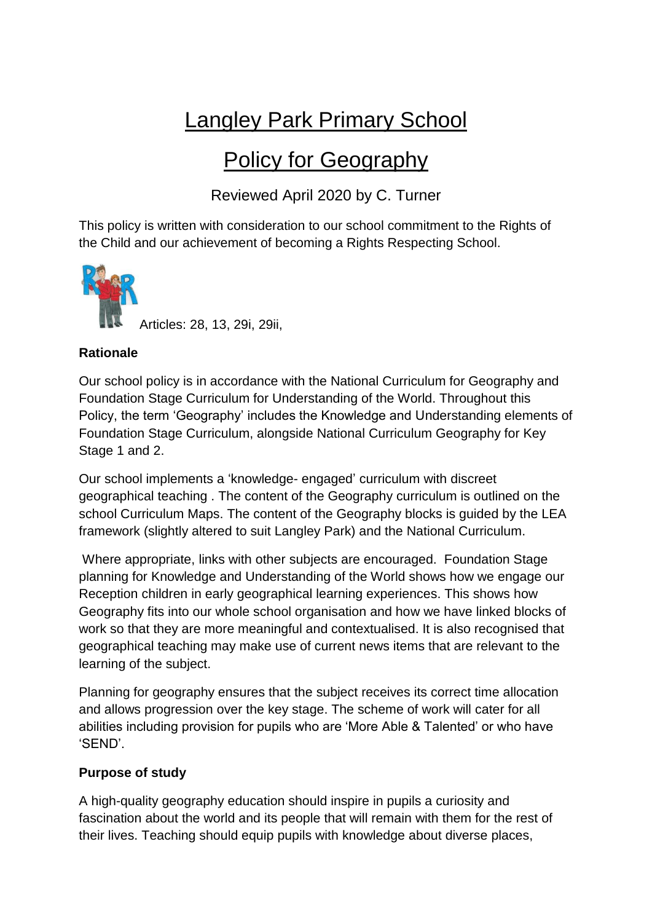# Langley Park Primary School

# Policy for Geography

Reviewed April 2020 by C. Turner

This policy is written with consideration to our school commitment to the Rights of the Child and our achievement of becoming a Rights Respecting School.



## **Rationale**

Our school policy is in accordance with the National Curriculum for Geography and Foundation Stage Curriculum for Understanding of the World. Throughout this Policy, the term 'Geography' includes the Knowledge and Understanding elements of Foundation Stage Curriculum, alongside National Curriculum Geography for Key Stage 1 and 2.

Our school implements a 'knowledge- engaged' curriculum with discreet geographical teaching . The content of the Geography curriculum is outlined on the school Curriculum Maps. The content of the Geography blocks is guided by the LEA framework (slightly altered to suit Langley Park) and the National Curriculum.

Where appropriate, links with other subjects are encouraged. Foundation Stage planning for Knowledge and Understanding of the World shows how we engage our Reception children in early geographical learning experiences. This shows how Geography fits into our whole school organisation and how we have linked blocks of work so that they are more meaningful and contextualised. It is also recognised that geographical teaching may make use of current news items that are relevant to the learning of the subject.

Planning for geography ensures that the subject receives its correct time allocation and allows progression over the key stage. The scheme of work will cater for all abilities including provision for pupils who are 'More Able & Talented' or who have 'SEND'.

# **Purpose of study**

A high-quality geography education should inspire in pupils a curiosity and fascination about the world and its people that will remain with them for the rest of their lives. Teaching should equip pupils with knowledge about diverse places,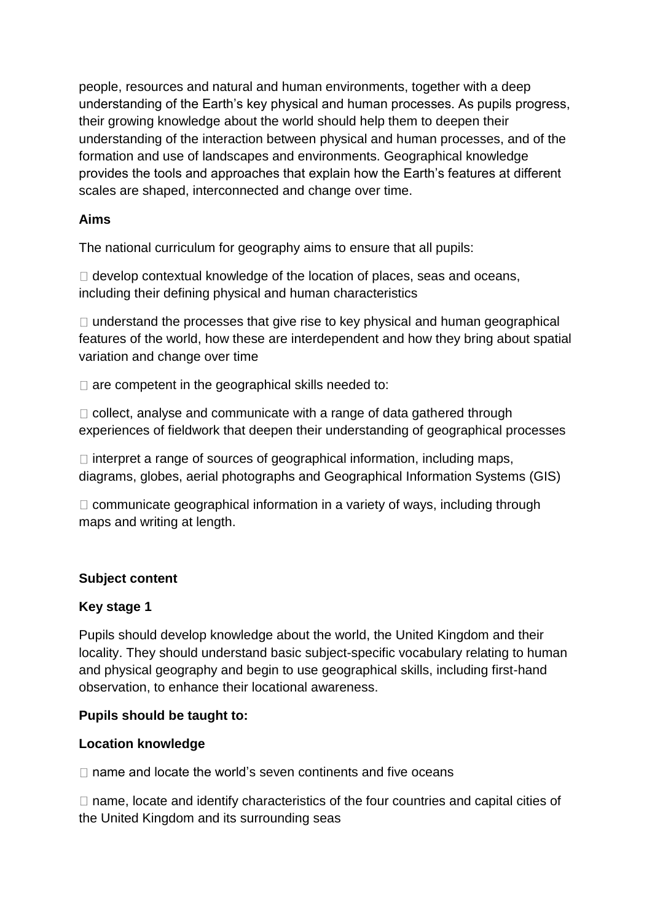people, resources and natural and human environments, together with a deep understanding of the Earth's key physical and human processes. As pupils progress, their growing knowledge about the world should help them to deepen their understanding of the interaction between physical and human processes, and of the formation and use of landscapes and environments. Geographical knowledge provides the tools and approaches that explain how the Earth's features at different scales are shaped, interconnected and change over time.

### **Aims**

The national curriculum for geography aims to ensure that all pupils:

 $\Box$  develop contextual knowledge of the location of places, seas and oceans, including their defining physical and human characteristics

 $\Box$  understand the processes that give rise to key physical and human geographical features of the world, how these are interdependent and how they bring about spatial variation and change over time

 $\Box$  are competent in the geographical skills needed to:

 $\Box$  collect, analyse and communicate with a range of data gathered through experiences of fieldwork that deepen their understanding of geographical processes

 $\Box$  interpret a range of sources of geographical information, including maps, diagrams, globes, aerial photographs and Geographical Information Systems (GIS)

 $\Box$  communicate geographical information in a variety of ways, including through maps and writing at length.

#### **Subject content**

#### **Key stage 1**

Pupils should develop knowledge about the world, the United Kingdom and their locality. They should understand basic subject-specific vocabulary relating to human and physical geography and begin to use geographical skills, including first-hand observation, to enhance their locational awareness.

### **Pupils should be taught to:**

#### **Location knowledge**

 $\Box$  name and locate the world's seven continents and five oceans

 $\Box$  name, locate and identify characteristics of the four countries and capital cities of the United Kingdom and its surrounding seas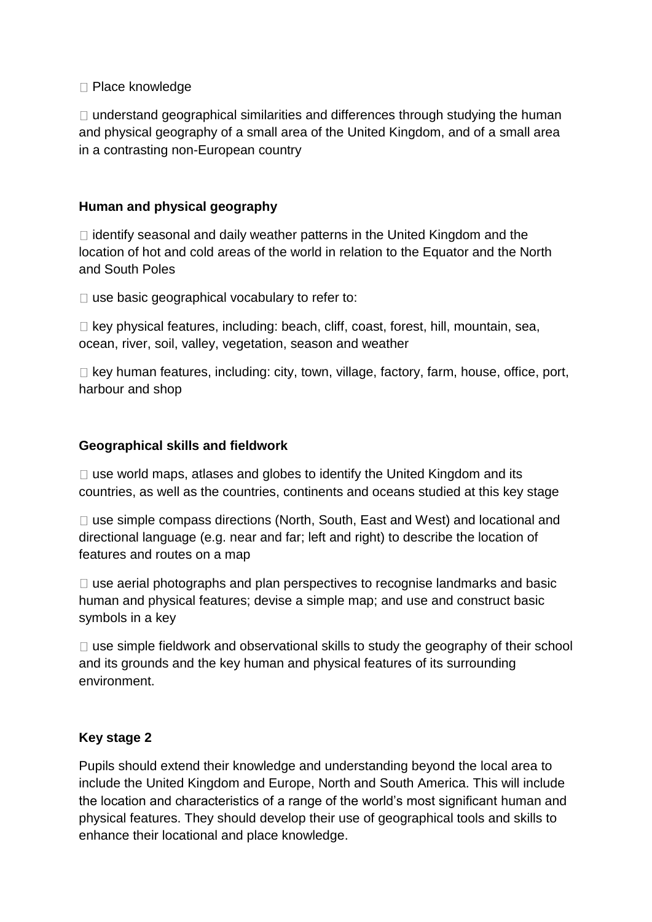#### □ Place knowledge

 $\Box$  understand geographical similarities and differences through studying the human and physical geography of a small area of the United Kingdom, and of a small area in a contrasting non-European country

### **Human and physical geography**

 $\Box$  identify seasonal and daily weather patterns in the United Kingdom and the location of hot and cold areas of the world in relation to the Equator and the North and South Poles

 $\Box$  use basic geographical vocabulary to refer to:

 $\Box$  key physical features, including: beach, cliff, coast, forest, hill, mountain, sea, ocean, river, soil, valley, vegetation, season and weather

 $\Box$  key human features, including: city, town, village, factory, farm, house, office, port, harbour and shop

### **Geographical skills and fieldwork**

 $\Box$  use world maps, atlases and globes to identify the United Kingdom and its countries, as well as the countries, continents and oceans studied at this key stage

 $\Box$  use simple compass directions (North, South, East and West) and locational and directional language (e.g. near and far; left and right) to describe the location of features and routes on a map

 $\Box$  use aerial photographs and plan perspectives to recognise landmarks and basic human and physical features; devise a simple map; and use and construct basic symbols in a key

 $\Box$  use simple fieldwork and observational skills to study the geography of their school and its grounds and the key human and physical features of its surrounding environment.

### **Key stage 2**

Pupils should extend their knowledge and understanding beyond the local area to include the United Kingdom and Europe, North and South America. This will include the location and characteristics of a range of the world's most significant human and physical features. They should develop their use of geographical tools and skills to enhance their locational and place knowledge.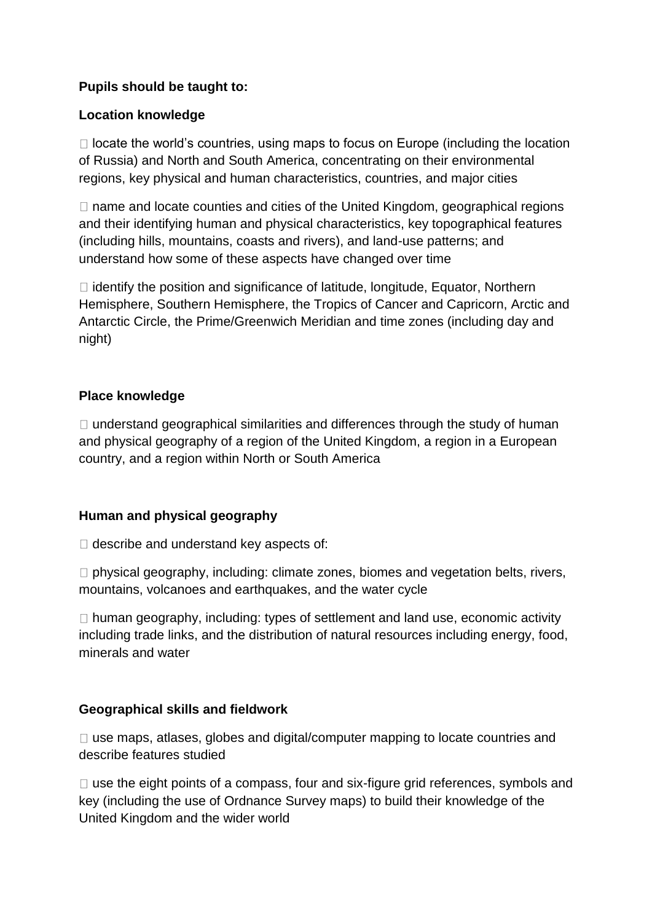### **Pupils should be taught to:**

## **Location knowledge**

 $\Box$  locate the world's countries, using maps to focus on Europe (including the location of Russia) and North and South America, concentrating on their environmental regions, key physical and human characteristics, countries, and major cities

 $\Box$  name and locate counties and cities of the United Kingdom, geographical regions and their identifying human and physical characteristics, key topographical features (including hills, mountains, coasts and rivers), and land-use patterns; and understand how some of these aspects have changed over time

 $\Box$  identify the position and significance of latitude, longitude, Equator, Northern Hemisphere, Southern Hemisphere, the Tropics of Cancer and Capricorn, Arctic and Antarctic Circle, the Prime/Greenwich Meridian and time zones (including day and night)

### **Place knowledge**

 $\Box$  understand geographical similarities and differences through the study of human and physical geography of a region of the United Kingdom, a region in a European country, and a region within North or South America

## **Human and physical geography**

 $\Box$  describe and understand key aspects of:

 $\Box$  physical geography, including: climate zones, biomes and vegetation belts, rivers, mountains, volcanoes and earthquakes, and the water cycle

 $\Box$  human geography, including: types of settlement and land use, economic activity including trade links, and the distribution of natural resources including energy, food, minerals and water

### **Geographical skills and fieldwork**

 $\Box$  use maps, atlases, globes and digital/computer mapping to locate countries and describe features studied

 $\Box$  use the eight points of a compass, four and six-figure grid references, symbols and key (including the use of Ordnance Survey maps) to build their knowledge of the United Kingdom and the wider world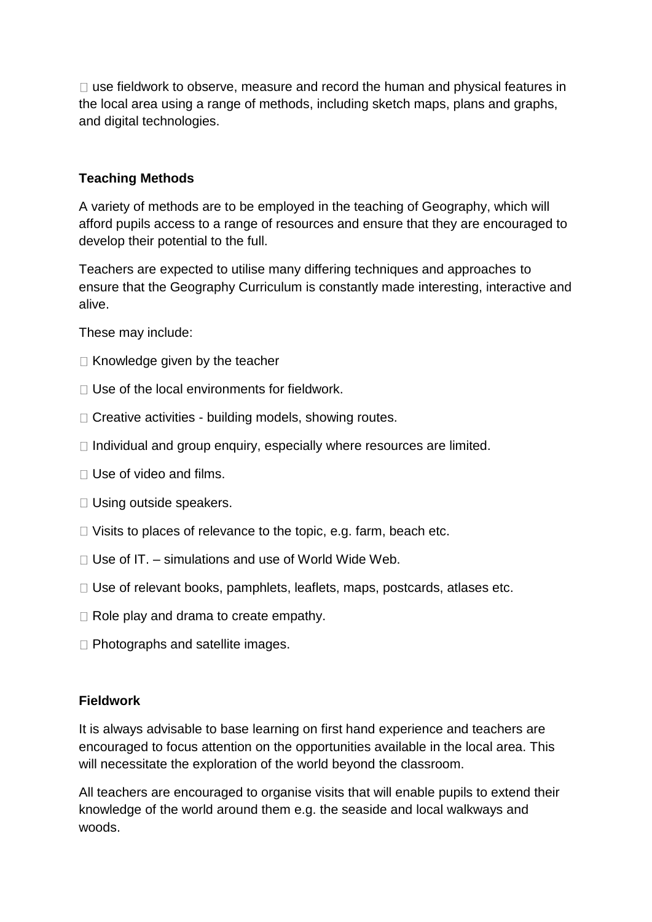$\Box$  use fieldwork to observe, measure and record the human and physical features in the local area using a range of methods, including sketch maps, plans and graphs, and digital technologies.

### **Teaching Methods**

A variety of methods are to be employed in the teaching of Geography, which will afford pupils access to a range of resources and ensure that they are encouraged to develop their potential to the full.

Teachers are expected to utilise many differing techniques and approaches to ensure that the Geography Curriculum is constantly made interesting, interactive and alive.

These may include:

- $\Box$  Knowledge given by the teacher
- $\Box$  Use of the local environments for fieldwork.
- $\Box$  Creative activities building models, showing routes.
- $\Box$  Individual and group enquiry, especially where resources are limited.
- $\Box$  Use of video and films.
- $\Box$  Using outside speakers.
- $\Box$  Visits to places of relevance to the topic, e.g. farm, beach etc.
- $\Box$  Use of IT. simulations and use of World Wide Web.
- $\Box$  Use of relevant books, pamphlets, leaflets, maps, postcards, atlases etc.
- $\Box$  Role play and drama to create empathy.
- □ Photographs and satellite images.

### **Fieldwork**

It is always advisable to base learning on first hand experience and teachers are encouraged to focus attention on the opportunities available in the local area. This will necessitate the exploration of the world beyond the classroom.

All teachers are encouraged to organise visits that will enable pupils to extend their knowledge of the world around them e.g. the seaside and local walkways and woods.